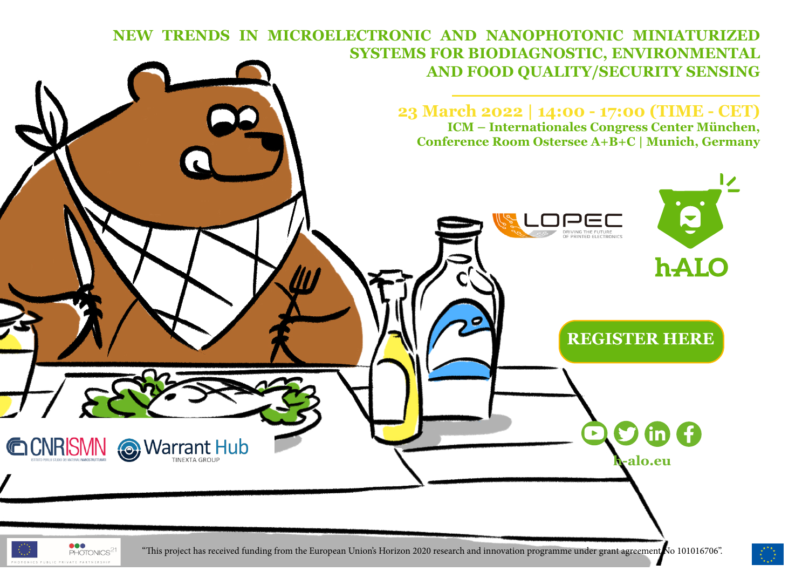## **NEW TRENDS IN MICROELECTRONIC AND NANOPHOTONIC MINIATURIZED SYSTEMS FOR BIODIAGNOSTIC, ENVIRONMENTAL AND FOOD QUALITY/SECURITY SENSING**

**23 March 2022 | 14:00 - 17:00 (TIME - CET) ICM – Internationales Congress Center München, Conference Room Ostersee A+B+C | Munich, Germany**



 $\bullet\bullet\bullet$ PHOTONICS<sup>2</sup>

OTONICS PIRITE PRIVATE PARTNERSH

"This project has received funding from the European Union's Horizon 2020 research and innovation programme under grant agreement No 101016706".